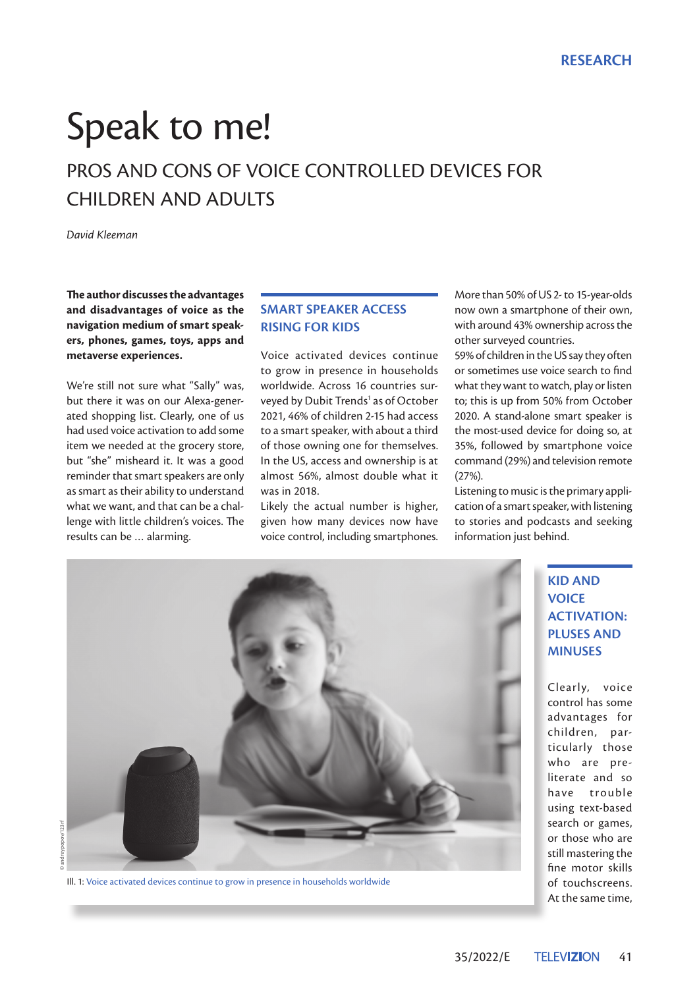# Speak to me!

# PROS AND CONS OF VOICE CONTROLLED DEVICES FOR CHILDREN AND ADULTS

*David Kleeman*

**The author discusses the advantages and disadvantages of voice as the navigation medium of smart speakers, phones, games, toys, apps and metaverse experiences.**

We're still not sure what "Sally" was, but there it was on our Alexa-generated shopping list. Clearly, one of us had used voice activation to add some item we needed at the grocery store, but "she" misheard it. It was a good reminder that smart speakers are only as smart as their ability to understand what we want, and that can be a challenge with little children's voices. The results can be … alarming.

# **SMART SPEAKER ACCESS RISING FOR KIDS**

Voice activated devices continue to grow in presence in households worldwide. Across 16 countries surveyed by Dubit Trends<sup>1</sup> as of October 2021, 46% of children 2-15 had access to a smart speaker, with about a third of those owning one for themselves. In the US, access and ownership is at almost 56%, almost double what it was in 2018.

Likely the actual number is higher, given how many devices now have voice control, including smartphones. More than 50% of US 2- to 15-year-olds now own a smartphone of their own, with around 43% ownership across the other surveyed countries.

59% of children in the US say they often or sometimes use voice search to find what they want to watch, play or listen to; this is up from 50% from October 2020. A stand-alone smart speaker is the most-used device for doing so, at 35%, followed by smartphone voice command (29%) and television remote (27%).

Listening to music is the primary application of a smart speaker, with listening to stories and podcasts and seeking information just behind.

> **KID AND VOICE ACTIVATION: PLUSES AND MINUSES**

Clearly, voice control has some advantages for children, particularly those who are preliterate and so have trouble using text-based search or games, or those who are still mastering the fine motor skills of touchscreens. At the same time,



Ill. 1: Voice activated devices continue to grow in presence in households worldwide